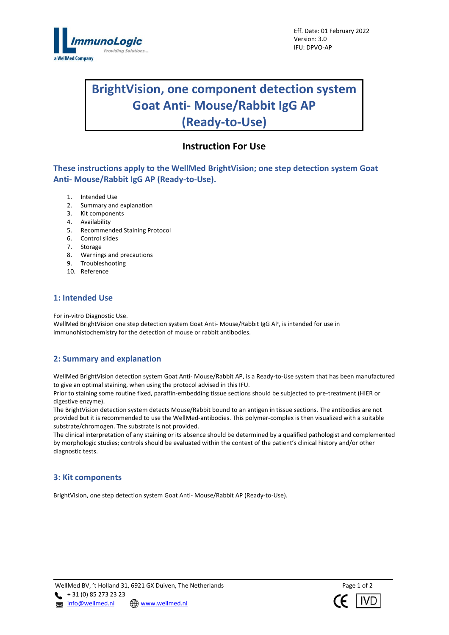

# **BrightVision, one component detection system Goat Anti- Mouse/Rabbit IgG AP (Ready-to-Use)**

# **Instruction For Use**

**These instructions apply to the WellMed BrightVision; one step detection system Goat Anti- Mouse/Rabbit IgG AP (Ready-to-Use).**

- 1. Intended Use
- 2. Summary and explanation
- 3. Kit components
- 4. Availability
- 5. Recommended Staining Protocol
- 6. Control slides
- 7. Storage
- 8. Warnings and precautions
- 9. Troubleshooting
- 10. Reference

## **1: Intended Use**

For in-vitro Diagnostic Use.

WellMed BrightVision one step detection system Goat Anti- Mouse/Rabbit IgG AP, is intended for use in immunohistochemistry for the detection of mouse or rabbit antibodies.

# **2: Summary and explanation**

WellMed BrightVision detection system Goat Anti- Mouse/Rabbit AP, is a Ready-to-Use system that has been manufactured to give an optimal staining, when using the protocol advised in this IFU.

Prior to staining some routine fixed, paraffin-embedding tissue sections should be subjected to pre-treatment (HIER or digestive enzyme).

The BrightVision detection system detects Mouse/Rabbit bound to an antigen in tissue sections. The antibodies are not provided but it is recommended to use the WellMed-antibodies. This polymer-complex is then visualized with a suitable substrate/chromogen. The substrate is not provided.

The clinical interpretation of any staining or its absence should be determined by a qualified pathologist and complemented by morphologic studies; controls should be evaluated within the context of the patient's clinical history and/or other diagnostic tests.

#### **3: Kit components**

BrightVision, one step detection system Goat Anti- Mouse/Rabbit AP (Ready-to-Use).